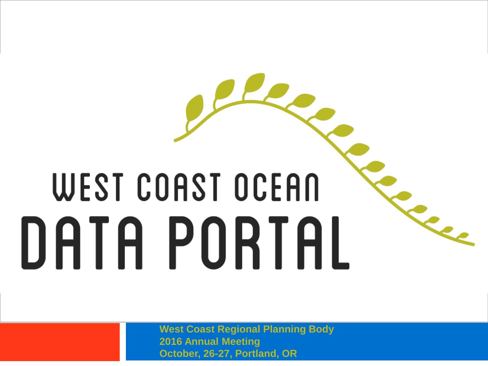# WEST COAST OCEAN DATA PORTAL

**West Coast Regional Planning Body 2016 Annual Meeting October, 26-27, Portland, OR**

Engel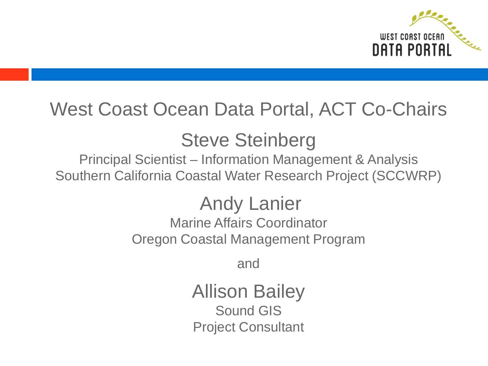

### West Coast Ocean Data Portal, ACT Co-Chairs

### Steve Steinberg

Principal Scientist – Information Management & Analysis Southern California Coastal Water Research Project (SCCWRP)

> Andy Lanier Marine Affairs Coordinator Oregon Coastal Management Program

> > and

Allison Bailey Sound GIS Project Consultant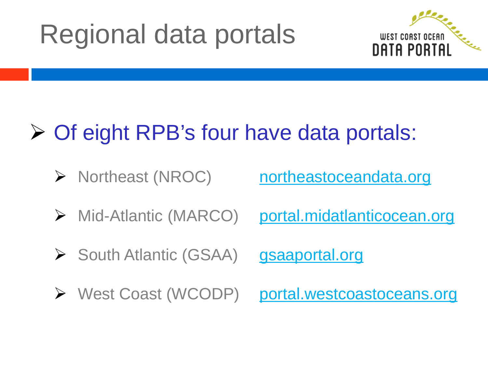# Regional data portals



### **► Of eight RPB's four have data portals:**

- > Northeast (NROC) [northeastoceandata.org](http://www.northeastoceandata.org/)
- > Mid-Atlantic (MARCO) [portal.midatlanticocean.org](http://portal.midatlanticocean.org/)
- South Atlantic (GSAA) [gsaaportal.org](http://www.gsaaportal.org/)
- ▶ West Coast (WCODP) [portal.westcoastoceans.org](http://portal.westcoastoceans.org/)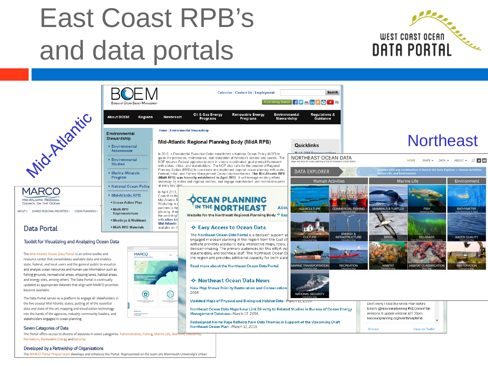# East Coast RPB's and data portals

 $D$  $\cap$  $\cap$ 



|                                                                                                                           | <b>BUREAU OF OCEAN ENERGY MANA</b>                                                                                                  |
|---------------------------------------------------------------------------------------------------------------------------|-------------------------------------------------------------------------------------------------------------------------------------|
|                                                                                                                           | <b>About BOEM</b><br>Regior                                                                                                         |
| PATTIC                                                                                                                    | Environmental<br>Stewardship<br>Environmental<br><b>Assessment</b><br>Environmental<br><b>Studies</b><br>Marine Minerals<br>Program |
| MARCO<br><b>MID-ATLANTIC REGIONAL</b><br>COUNCIL ON THE OCEAN<br>UT »<br>OCEAN PLANNING »<br>SHARED REGIONAL PRIORITIES » | Mational Ocean Policy<br>Mid-Atlantic RPB<br>• Ocean Action Plan<br>· MidA RPB<br><b>Representatives</b>                            |
| Data Portal                                                                                                               | . Meetings & Webinars<br>· MidA RPB Materials                                                                                       |

#### Toolkit for Visualizing and Analyzing Ocean Data

The Mid-Atlantic Ocean Data Portal is an online toolkit and resource center that consolidates available data and enables state, federal, and local users and the general public to visualize and analyze ocean resources and human use information such as fishing grounds, recreational areas, shipping lanes, habitat areas, and energy sites, among others. The Data Portal is continually updated as appropriate datasets that align with MARCO priorities become available.

The Data Portal serves as a platform to engage all stakeholders in the five coastal Mid-Atlantic states, putting all of the essential data and state-of-the-art mapping and visualization technology into the hands of the agencies, industry, community leaders, and stakeholders engaged in ocean planning.

#### Seven Categories of Data

ABOUT » SHARED REGIONAL

The Portal offers access to dozens of datasets in seven categories: Administrative, Fishing, Marine Life, Marinme industries Recreation, Renewable Energy and Security.

#### Developed by a Partnership of Organizations

The MARCO Portal Project team develops and enhances the Portal. Represented on the team are Monmouth University's Urban



Newsroom

In April 2013, Council on the

Mid-Atlantic F

Workshop in

partners to he

planning. Ast

the workshop<sup>1</sup> with other ke Mid-Atlantic

available on t

0

**MARCO** 

#### Mid-Atlantic Regional Planning Body (MidA RPB)

Oil & Gas Energy

**Programs** 

In 2010, a Presidential Executive Order established a National Ocean Policy (NOP) to guide the protection, maintenance, and restoration of America's oceans and coasts. The NOP requires Federal agencies to work in a more coordinated, goal-oriented framework with states, tribes, and stakeholders. The NOP also calls for the creation of Regional Planning Bodies (RPBs) to coordinate and implement regional ocean planning with state. Federal, tribal, and Fishery Management Council representatives. The Mid-Atlantic RPB (MidA RPB) was formally established in April 2013. It will leverage existing efforts underway by states and regional entities, and engage stakeholders and technical experts at every key sten.

#### **-OCEAN PLANNING** IN THE **NORTHEAST**

Website for the Northeast Regional Planning Body  $\overline{\Phi}$  East

Calendar | Contact Us | Employment

Renewable Energy

Programs

#### → Easy Access to Ocean Data

The Northeast Ocean Data Portal is a decision support an engaged in ocean planning in the region from the Gulf of website provides access to data, interactive maps, tools, a decision making. The primary audiences for this effort inc stakeholders, and technical staff. The Northeast Ocean Da the region and provides additional capacity for both state

Read more about the Northeast Ocean Data Portal.

#### → Northeast Ocean Data News

New Map Shows Priority Restoration and Conservation 2016

Updated Maps of Physical and Biological Habitat Data-March 17, 201

Northeast Ocean Data Maps Now Link Directly to Related Studies in Bureau of Ocean Energy Management Database-March 17, 2016

Redesigned Home Page Reflects New Data Themes in Support of the Upcoming Draft Northeast Ocean Plan-March 17, 2016

### **Northeast**





Search

**Regulations &** 

Guidance

Operating Status | f v n in a c + =

Quicklinks

**MidA RPR Renresentatives** 

**DATA EXPLORER** 

**AQUACULTURE** 

**CULTUR** 

**MARINE TRANSPORTATION** 

NORTHEAST OCEAN DATA

**Human Activities** 

**COMMERCIAL FISHING** 

ENERGY &

RECREATION

Environmental

**Stewardship** 

Abou

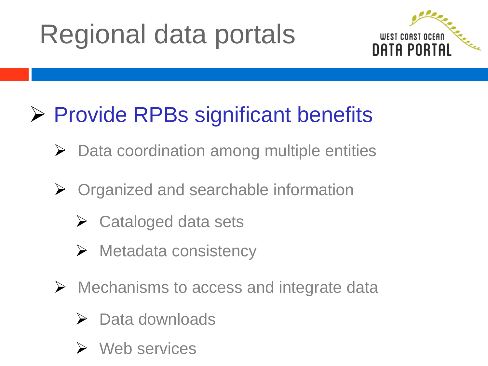# Regional data portals



### $\triangleright$  Provide RPBs significant benefits

- $\triangleright$  Data coordination among multiple entities
- $\triangleright$  Organized and searchable information
	- $\triangleright$  Cataloged data sets
	- $\triangleright$  Metadata consistency
- Mechanisms to access and integrate data
	- $\triangleright$  Data downloads
	- **≻** Web services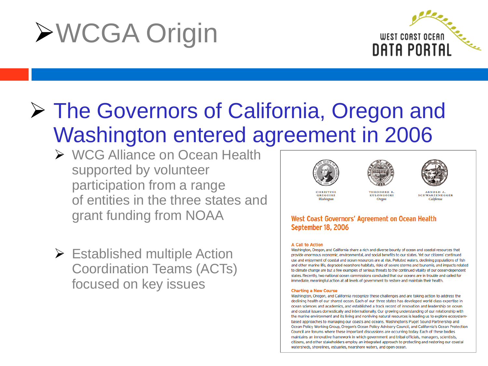# WCGA Origin



### The Governors of California, Oregon and Washington entered agreement in 2006

- ▶ WCG Alliance on Ocean Health supported by volunteer participation from a range of entities in the three states and grant funding from NOAA
- $\triangleright$  Established multiple Action Coordination Teams (ACTs) focused on key issues







**CHRISTINE** GREGOIRE Washington

THEODORE R KULONGOSKI **Oregon** 

**ARNOLD A** SCHWARZENEGGER California

### **West Coast Governors' Agreement on Ocean Health September 18, 2006**

#### **A Call to Action**

Washington, Oregon, and California share a rich and diverse bounty of ocean and coastal resources that provide enormous economic, environmental, and social benefits to our states. Yet our citizens' continued use and enjoyment of coastal and ocean resources are at risk. Polluted waters, declining populations of fish and other marine life, degraded nearshore habitats, risks of severe storms and tsunamis, and impacts related to climate change are but a few examples of serious threats to the continued vitality of our ocean-dependent states. Recently, two national ocean commissions concluded that our oceans are in trouble and called for immediate, meaningful action at all levels of government to restore and maintain their health.

#### **Charting a New Course**

Washington, Oregon, and California recognize these challenges and are taking action to address the declining health of our shared ocean. Each of our three states has developed world class expertise in ocean sciences and academics, and established a track record of innovation and leadership on ocean and coastal issues domestically and internationally. Our growing understanding of our relationship with the marine environment and its living and nonliving natural resources is leading us to explore ecosystembased approaches to managing our coasts and oceans. Washington's Puget Sound Partnership and Ocean Policy Working Group, Oregon's Ocean Policy Advisory Council, and California's Ocean Protection Council are forums where these important discussions are occurring today. Each of these bodies maintains an innovative framework in which government and tribal officials, managers, scientists, citizens, and other stakeholders employ an integrated approach to protecting and restoring our coastal watersheds, shorelines, estuaries, nearshore waters, and open ocean.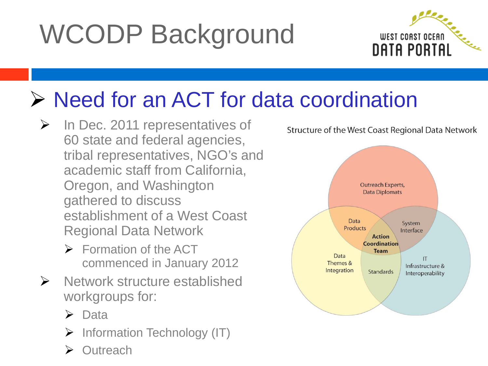# WCODP Background



### ▶ Need for an ACT for data coordination

- $\triangleright$  In Dec. 2011 representatives of 60 state and federal agencies, tribal representatives, NGO's and academic staff from California, Oregon, and Washington gathered to discuss establishment of a West Coast Regional Data Network
	- $\triangleright$  Formation of the ACT commenced in January 2012
- $\triangleright$  Network structure established workgroups for:
	- $\triangleright$  Data
	- $\triangleright$  Information Technology (IT)
	- **Outreach**



Structure of the West Coast Regional Data Network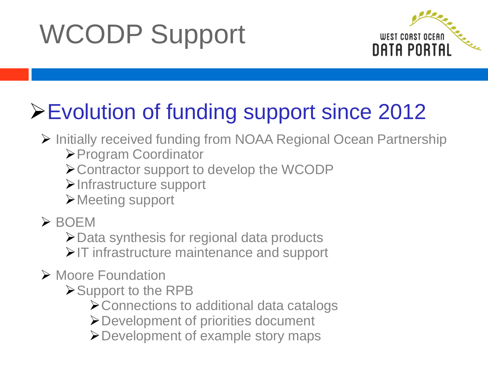# WCODP Support



### Evolution of funding support since 2012

- ▶ Initially received funding from NOAA Regional Ocean Partnership
	- Program Coordinator
	- Contractor support to develop the WCODP
	- Infrastructure support
	- Meeting support
- $>$  BOEM

**≻Data synthesis for regional data products** 

 $\triangleright$  IT infrastructure maintenance and support

- **≻ Moore Foundation** 
	- Support to the RPB
		- Connections to additional data catalogs
		- Development of priorities document
		- Development of example story maps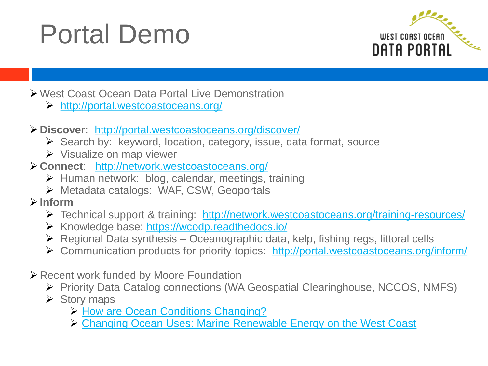# Portal Demo



West Coast Ocean Data Portal Live Demonstration

- <http://portal.westcoastoceans.org/>
- **Discover**: <http://portal.westcoastoceans.org/discover/>
	- Search by: keyword, location, category, issue, data format, source
	- $\triangleright$  Visualize on map viewer
- **Connect**: <http://network.westcoastoceans.org/>
	- $\triangleright$  Human network: blog, calendar, meetings, training
	- Metadata catalogs: WAF, CSW, Geoportals
- **Inform**
	- > Technical support & training: <http://network.westcoastoceans.org/training-resources/>
	- ▶ Knowledge base: <https://wcodp.readthedocs.io/>
	- $\triangleright$  Regional Data synthesis Oceanographic data, kelp, fishing regs, littoral cells
	- Communication products for priority topics: <http://portal.westcoastoceans.org/inform/>
- Recent work funded by Moore Foundation
	- Priority Data Catalog connections (WA Geospatial Clearinghouse, NCCOS, NMFS)
	- $\triangleright$  Story maps
		- > [How are Ocean Conditions Changing?](http://wcodp.maps.arcgis.com/apps/MapJournal/index.html?appid=20b1de61d4094465bb02a6cf44a19766)
		- [Changing Ocean Uses: Marine Renewable Energy on the West Coast](http://wcodp.maps.arcgis.com/apps/MapJournal/index.html?appid=bd3eb9437d49446c8c8d1e185a093a7b)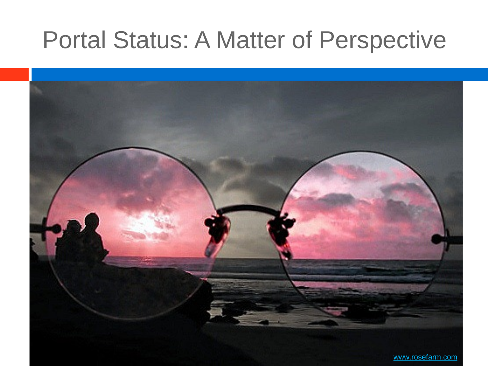### Portal Status: A Matter of Perspective

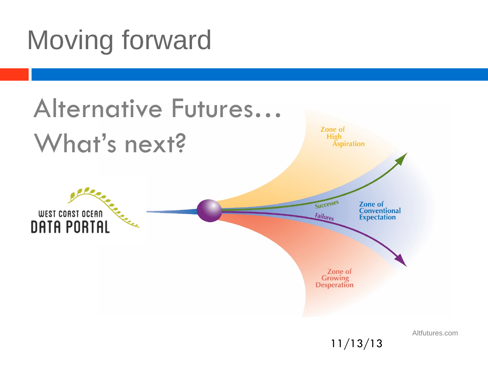# Moving forward



Altfutures.com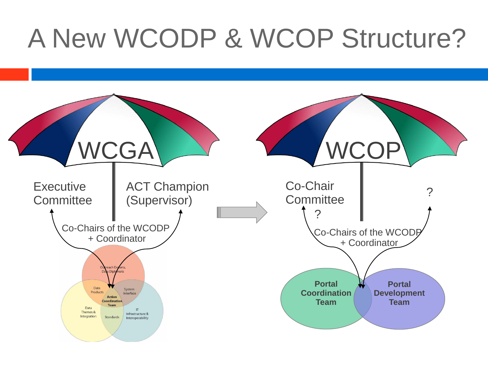# A New WCODP & WCOP Structure?

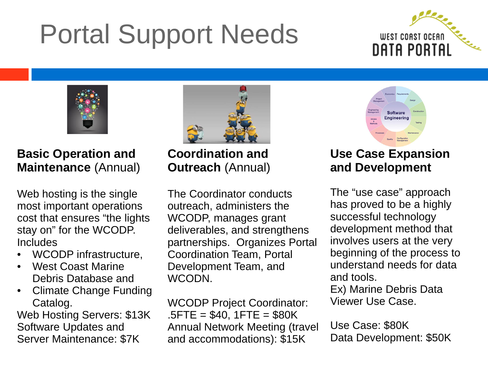# Portal Support Needs





**Basic Operation and Maintenance** (Annual)

Web hosting is the single most important operations cost that ensures "the lights stay on" for the WCODP. **Includes** 

- WCODP infrastructure,
- West Coast Marine Debris Database and
- Climate Change Funding Catalog.

Web Hosting Servers: \$13K Software Updates and Server Maintenance: \$7K

**Coordination and Outreach** (Annual)

The Coordinator conducts outreach, administers the WCODP, manages grant deliverables, and strengthens partnerships. Organizes Portal Coordination Team, Portal Development Team, and WCODN.

WCODP Project Coordinator:  $.5$  FTE = \$40, 1 FTE = \$80 K Annual Network Meeting (travel and accommodations): \$15K

**Engineering** 

### **Use Case Expansion and Development**

The "use case" approach has proved to be a highly successful technology development method that involves users at the very beginning of the process to understand needs for data and tools.

Ex) Marine Debris Data Viewer Use Case.

Use Case: \$80K Data Development: \$50K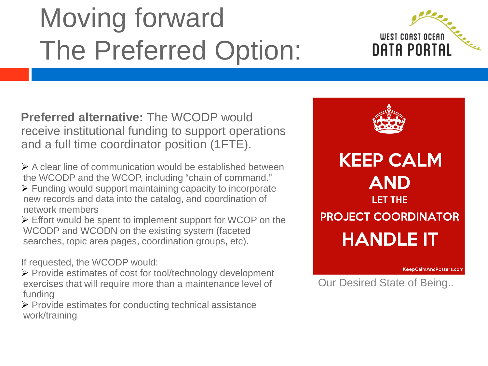# Moving forward The Preferred Option:



**Preferred alternative:** The WCODP would receive institutional funding to support operations and a full time coordinator position (1FTE).

 $\triangleright$  A clear line of communication would be established between the WCODP and the WCOP, including "chain of command."  $\triangleright$  Funding would support maintaining capacity to incorporate new records and data into the catalog, and coordination of network members

Effort would be spent to implement support for WCOP on the WCODP and WCODN on the existing system (faceted searches, topic area pages, coordination groups, etc).

If requested, the WCODP would:

- Provide estimates of cost for tool/technology development exercises that will require more than a maintenance level of funding
- $\triangleright$  Provide estimates for conducting technical assistance work/training



KeepCalmAndPosters.com

Our Desired State of Being..